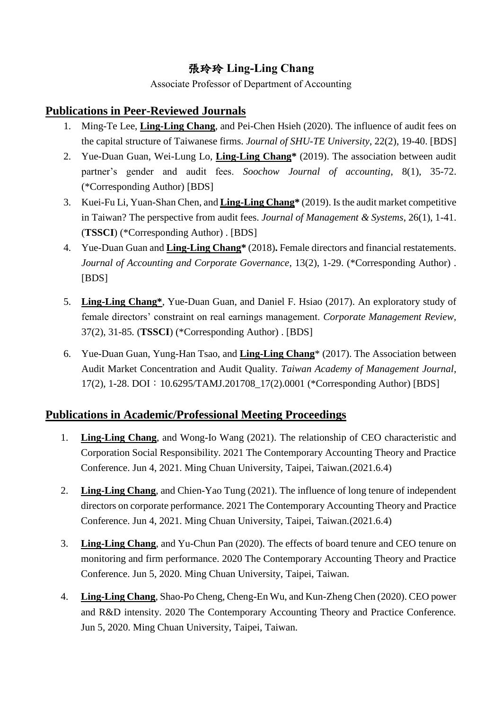## 張玲玲 **Ling-Ling Chang**

Associate Professor of Department of Accounting

## **Publications in Peer-Reviewed Journals**

- 1. Ming-Te Lee, **Ling-Ling Chang**, and Pei-Chen Hsieh (2020). The influence of audit fees on the capital structure of Taiwanese firms. *Journal of SHU-TE University*, 22(2), 19-40. [BDS]
- 2. Yue-Duan Guan, Wei-Lung Lo, **Ling-Ling Chang\*** (2019). The association between audit partner's gender and audit fees. *Soochow Journal of accounting*, 8(1), 35-72. (\*Corresponding Author) [BDS]
- 3. Kuei-Fu Li, Yuan-Shan Chen, and **Ling-Ling Chang\*** (2019). Is the audit market competitive in Taiwan? The perspective from audit fees. *Journal of Management & Systems*, 26(1), 1-41. (**TSSCI**) (\*Corresponding Author) . [BDS]
- 4. Yue-Duan Guan and **Ling-Ling Chang\*** (2018)**.** Female directors and financial restatements. *Journal of Accounting and Corporate Governance*, 13(2), 1-29. (\*Corresponding Author) . [BDS]
- 5. **Ling-Ling Chang\***, Yue-Duan Guan, and Daniel F. Hsiao (2017). An exploratory study of female directors' constraint on real earnings management. *Corporate Management Review,*  37(2), 31-85*.* (**TSSCI**) (\*Corresponding Author) . [BDS]
- 6. Yue-Duan Guan, Yung-Han Tsao, and **Ling-Ling Chang**\* (2017). The Association between Audit Market Concentration and Audit Quality. *Taiwan Academy of Management Journal*, 17(2), 1-28. DOI:10.6295/TAMJ.201708\_17(2).0001 (\*Corresponding Author) [BDS]

## **Publications in Academic/Professional Meeting Proceedings**

- 1. **Ling-Ling Chang**, and Wong-Io Wang (2021). The relationship of CEO characteristic and Corporation Social Responsibility. 2021 The Contemporary Accounting Theory and Practice Conference. Jun 4, 2021. Ming Chuan University, Taipei, Taiwan.(2021.6.4)
- 2. **Ling-Ling Chang**, and Chien-Yao Tung (2021). The influence of long tenure of independent directors on corporate performance. 2021 The Contemporary Accounting Theory and Practice Conference. Jun 4, 2021. Ming Chuan University, Taipei, Taiwan.(2021.6.4)
- 3. **Ling-Ling Chang**, and Yu-Chun Pan (2020). The effects of board tenure and CEO tenure on monitoring and firm performance. 2020 The Contemporary Accounting Theory and Practice Conference. Jun 5, 2020. Ming Chuan University, Taipei, Taiwan.
- 4. **Ling-Ling Chang**, Shao-Po Cheng, Cheng-En Wu, and Kun-Zheng Chen (2020). CEO power and R&D intensity. 2020 The Contemporary Accounting Theory and Practice Conference. Jun 5, 2020. Ming Chuan University, Taipei, Taiwan.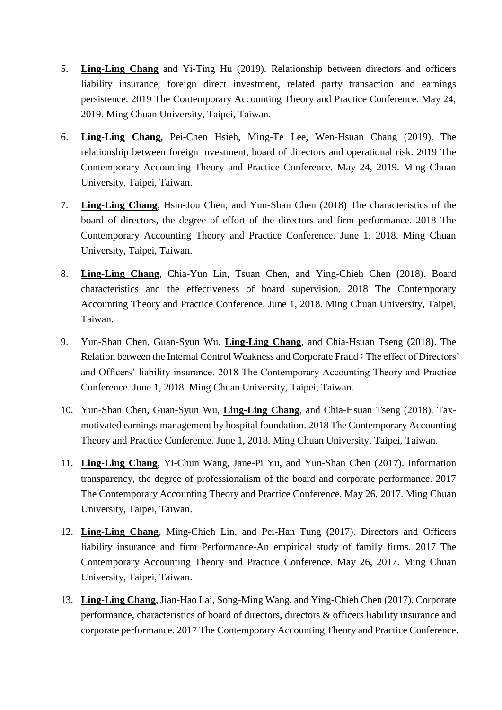- 5. **Ling-Ling Chang** and Yi-Ting Hu (2019). Relationship between directors and officers liability insurance, foreign direct investment, related party transaction and earnings persistence. 2019 The Contemporary Accounting Theory and Practice Conference. May 24, 2019. Ming Chuan University, Taipei, Taiwan.
- 6. **Ling-Ling Chang,** Pei-Chen Hsieh, Ming-Te Lee, Wen-Hsuan Chang (2019). The relationship between foreign investment, board of directors and operational risk. 2019 The Contemporary Accounting Theory and Practice Conference. May 24, 2019. Ming Chuan University, Taipei, Taiwan.
- 7. **Ling-Ling Chang**, Hsin-Jou Chen, and Yun-Shan Chen (2018) The characteristics of the board of directors, the degree of effort of the directors and firm performance. 2018 The Contemporary Accounting Theory and Practice Conference. June 1, 2018. Ming Chuan University, Taipei, Taiwan.
- 8. **Ling-Ling Chang**, Chia-Yun Lin, Tsuan Chen, and Ying-Chieh Chen (2018). Board characteristics and the effectiveness of board supervision. 2018 The Contemporary Accounting Theory and Practice Conference. June 1, 2018. Ming Chuan University, Taipei, Taiwan.
- 9. Yun-Shan Chen, Guan-Syun Wu, **Ling-Ling Chang**, and Chia-Hsuan Tseng (2018). The Relation between the Internal Control Weakness and Corporate Fraud: The effect of Directors' and Officers' liability insurance. 2018 The Contemporary Accounting Theory and Practice Conference. June 1, 2018. Ming Chuan University, Taipei, Taiwan.
- 10. Yun-Shan Chen, Guan-Syun Wu, **Ling-Ling Chang**, and Chia-Hsuan Tseng (2018). Taxmotivated earnings management by hospital foundation. 2018 The Contemporary Accounting Theory and Practice Conference. June 1, 2018. Ming Chuan University, Taipei, Taiwan.
- 11. **Ling-Ling Chang**, Yi-Chun Wang, Jane-Pi Yu, and Yun-Shan Chen (2017). Information transparency, the degree of professionalism of the board and corporate performance. 2017 The Contemporary Accounting Theory and Practice Conference. May 26, 2017. Ming Chuan University, Taipei, Taiwan.
- 12. **Ling-Ling Chang**, Ming-Chieh Lin, and Pei-Han Tung (2017). Directors and Officers liability insurance and firm Performance-An empirical study of family firms. 2017 The Contemporary Accounting Theory and Practice Conference. May 26, 2017. Ming Chuan University, Taipei, Taiwan.
- 13. **Ling-Ling Chang**, Jian-Hao Lai, Song-Ming Wang, and Ying-Chieh Chen (2017). Corporate performance, characteristics of board of directors, directors & officers liability insurance and corporate performance. 2017 The Contemporary Accounting Theory and Practice Conference.